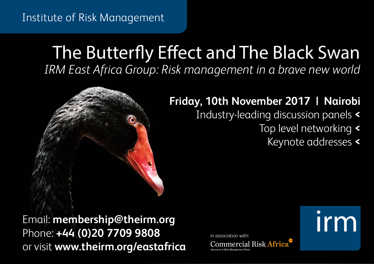### Institute of Risk Management

# The Butterfly Effect and The Black Swan *IRM East Africa Group: Risk management in a brave new world*

## **Friday, 10th November 2017 | Nairobi**

- Industry-leading discussion panels **<**
	- Top level networking **<**
		- Keynote addresses **<**

**Irm** 

Email: **membership@theirm.org** Phone: **+44 (0)20 7709 9808** or visit **www.theirm.org/eastafrica**

in association with:**Commercial Risk Africa**